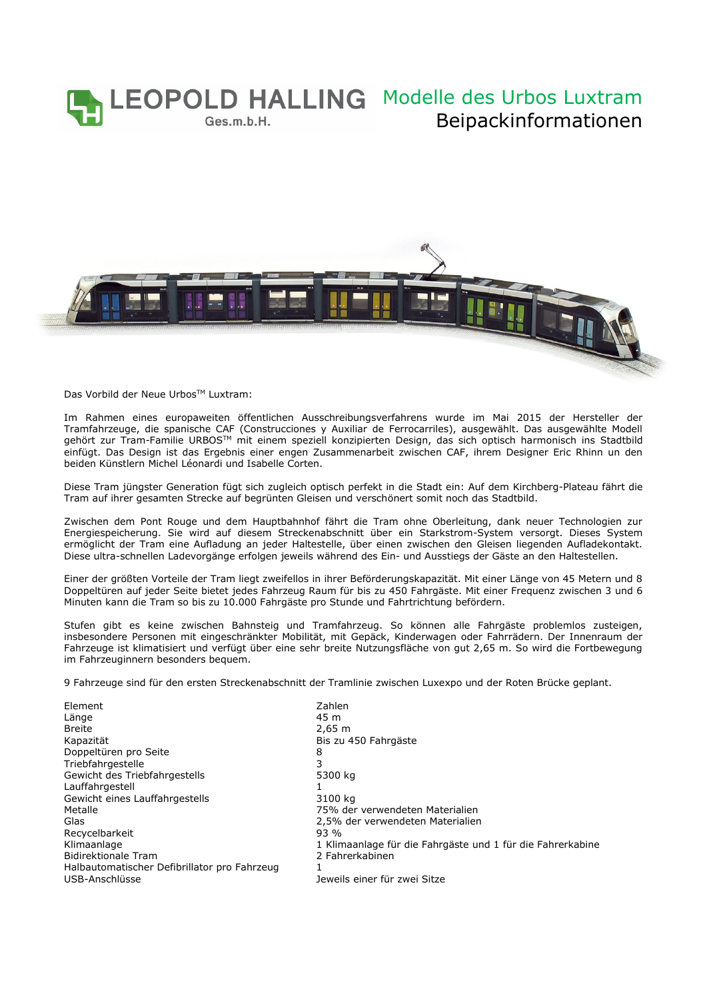

Das Vorbild der Neue Urbos™ Luxtram:

Im Rahmen eines europaweiten öffentlichen Ausschreibungsverfahrens wurde im Mai 2015 der Hersteller der Tramfahrzeuge, die spanische CAF (Construcciones y Auxiliar de Ferrocarriles), ausgewählt. Das ausgewählte Modell gehört zur Tram-Familie URBOSTM mit einem speziell konzipierten Design, das sich optisch harmonisch ins Stadtbild einfügt. Das Design ist das Ergebnis einer engen Zusammenarbeit zwischen CAF, ihrem Designer Eric Rhinn un den beiden Künstlern Michel Léonardi und Isabelle Corten.

Diese Tram jüngster Generation fügt sich zugleich optisch perfekt in die Stadt ein: Auf dem Kirchberg-Plateau fährt die Tram auf ihrer gesamten Strecke auf begrünten Gleisen und verschönert somit noch das Stadtbild.

Zwischen dem Pont Rouge und dem Hauptbahnhof fährt die Tram ohne Oberleitung, dank neuer Technologien zur Energiespeicherung. Sie wird auf diesem Streckenabschnitt über ein Starkstrom-System versorgt. Dieses System ermöglicht der Tram eine Aufladung an jeder Haltestelle, über einen zwischen den Gleisen liegenden Aufladekontakt. Diese ultra-schnellen Ladevorgänge erfolgen jeweils während des Ein- und Ausstiegs der Gäste an den Haltestellen.

Einer der größten Vorteile der Tram liegt zweifellos in ihrer Beförderungskapazität. Mit einer Länge von 45 Metern und 8 Doppeltüren auf jeder Seite bietet jedes Fahrzeug Raum für bis zu 450 Fahrgäste. Mit einer Frequenz zwischen 3 und 6 Minuten kann die Tram so bis zu 10.000 Fahrgäste pro Stunde und Fahrtrichtung befördern.

Stufen gibt es keine zwischen Bahnsteig und Tramfahrzeug. So können alle Fahrgäste problemlos zusteigen, insbesondere Personen mit eingeschränkter Mobilität, mit Gepäck, Kinderwagen oder Fahrrädern. Der Innenraum der Fahrzeuge ist klimatisiert und verfügt über eine sehr breite Nutzungsfläche von gut 2,65 m. So wird die Fortbewegung im Fahrzeuginnern besonders bequem.

9 Fahrzeuge sind für den ersten Streckenabschnitt der Tramlinie zwischen Luxexpo und der Roten Brücke geplant.

| Element                                      | Zahlen                                                     |
|----------------------------------------------|------------------------------------------------------------|
| Länge                                        | 45 m                                                       |
| <b>Breite</b>                                | $2,65 \; m$                                                |
| Kapazität                                    | Bis zu 450 Fahrgäste                                       |
| Doppeltüren pro Seite                        | 8                                                          |
| Triebfahrgestelle                            |                                                            |
| Gewicht des Triebfahrgestells                | 5300 kg                                                    |
| Lauffahrgestell                              |                                                            |
| Gewicht eines Lauffahrgestells               | 3100 kg                                                    |
| Metalle                                      | 75% der verwendeten Materialien                            |
| Glas                                         | 2,5% der verwendeten Materialien                           |
| Recycelbarkeit                               | $93\%$                                                     |
| Klimaanlage                                  | 1 Klimaanlage für die Fahrgäste und 1 für die Fahrerkabine |
| <b>Bidirektionale Tram</b>                   | 2 Fahrerkabinen                                            |
| Halbautomatischer Defibrillator pro Fahrzeug |                                                            |
| USB-Anschlüsse                               | Jeweils einer für zwei Sitze                               |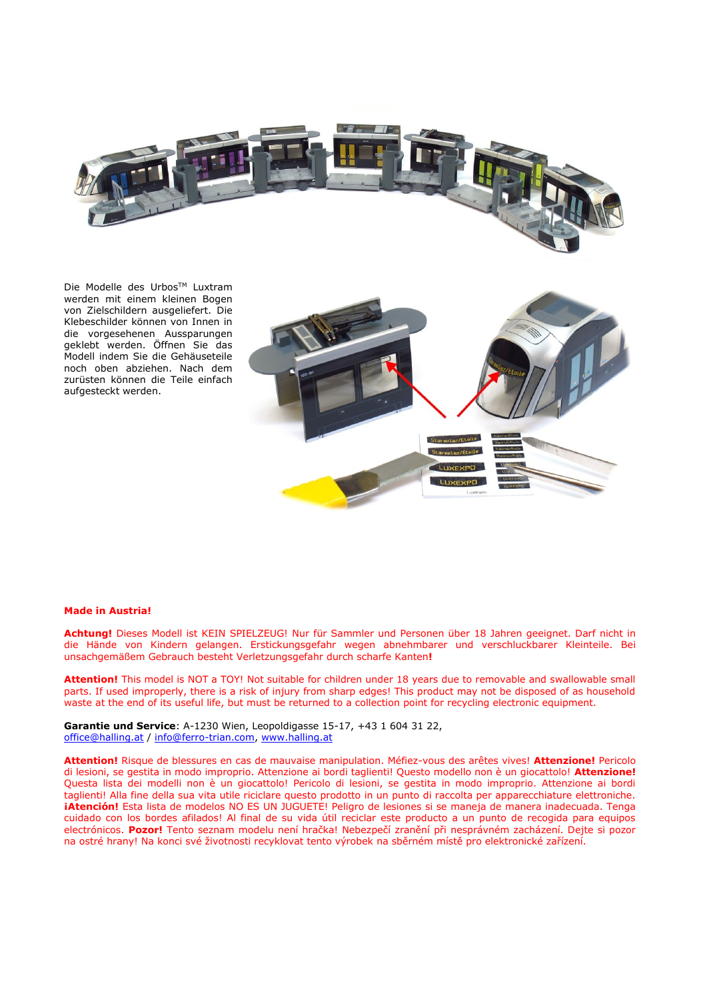

Die Modelle des Urbos™ Luxtram werden mit einem kleinen Bogen von Zielschildern ausgeliefert. Die Klebeschilder können von Innen in die vorgesehenen Aussparungen geklebt werden. Öffnen Sie das Modell indem Sie die Gehäuseteile noch oben abziehen. Nach dem zurüsten können die Teile einfach aufgesteckt werden.



## **Made in Austria!**

**Achtung!** Dieses Modell ist KEIN SPIELZEUG! Nur für Sammler und Personen über 18 Jahren geeignet. Darf nicht in die Hände von Kindern gelangen. Erstickungsgefahr wegen abnehmbarer und verschluckbarer Kleinteile. Bei unsachgemäßem Gebrauch besteht Verletzungsgefahr durch scharfe Kanten**!** 

**Attention!** This model is NOT a TOY! Not suitable for children under 18 years due to removable and swallowable small parts. If used improperly, there is a risk of injury from sharp edges! This product may not be disposed of as household waste at the end of its useful life, but must be returned to a collection point for recycling electronic equipment.

**Garantie und Service**: A-1230 Wien, Leopoldigasse 15-17, +43 1 604 31 22, [office@halling.at](mailto:office@halling.at) / info@ferro-trian.com, [www.halling.at](http://www.halling.at/)

**Attention!** Risque de blessures en cas de mauvaise manipulation. Méfiez-vous des arêtes vives! **Attenzione!** Pericolo di lesioni, se gestita in modo improprio. Attenzione ai bordi taglienti! Questo modello non è un giocattolo! **Attenzione!** Questa lista dei modelli non è un giocattolo! Pericolo di lesioni, se gestita in modo improprio. Attenzione ai bordi taglienti! Alla fine della sua vita utile riciclare questo prodotto in un punto di raccolta per apparecchiature elettroniche. **¡Atención!** Esta lista de modelos NO ES UN JUGUETE! Peligro de lesiones si se maneja de manera inadecuada. Tenga cuidado con los bordes afilados! Al final de su vida útil reciclar este producto a un punto de recogida para equipos electrónicos. **Pozor!** Tento seznam modelu není hračka! Nebezpečí zranění při nesprávném zacházení. Dejte si pozor na ostré hrany! Na konci své životnosti recyklovat tento výrobek na sběrném místě pro elektronické zařízení.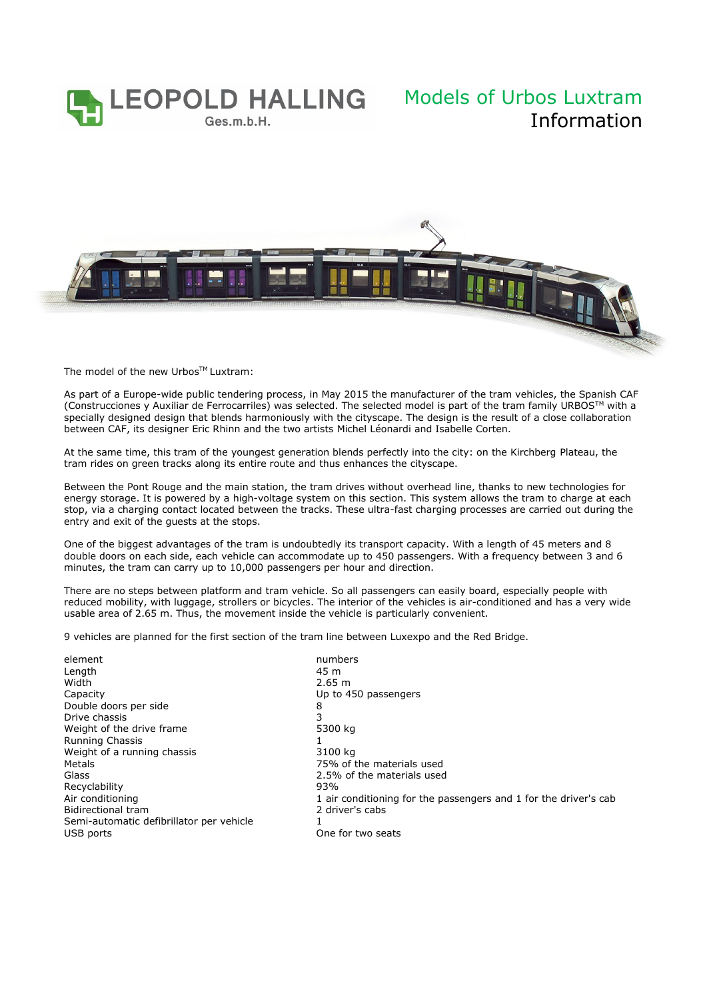

## Information



The model of the new Urbos™ Luxtram:

As part of a Europe-wide public tendering process, in May 2015 the manufacturer of the tram vehicles, the Spanish CAF (Construcciones y Auxiliar de Ferrocarriles) was selected. The selected model is part of the tram family URBOS<sup>TM</sup> with a specially designed design that blends harmoniously with the cityscape. The design is the result of a close collaboration between CAF, its designer Eric Rhinn and the two artists Michel Léonardi and Isabelle Corten.

At the same time, this tram of the youngest generation blends perfectly into the city: on the Kirchberg Plateau, the tram rides on green tracks along its entire route and thus enhances the cityscape.

Between the Pont Rouge and the main station, the tram drives without overhead line, thanks to new technologies for energy storage. It is powered by a high-voltage system on this section. This system allows the tram to charge at each stop, via a charging contact located between the tracks. These ultra-fast charging processes are carried out during the entry and exit of the guests at the stops.

One of the biggest advantages of the tram is undoubtedly its transport capacity. With a length of 45 meters and 8 double doors on each side, each vehicle can accommodate up to 450 passengers. With a frequency between 3 and 6 minutes, the tram can carry up to 10,000 passengers per hour and direction.

There are no steps between platform and tram vehicle. So all passengers can easily board, especially people with reduced mobility, with luggage, strollers or bicycles. The interior of the vehicles is air-conditioned and has a very wide usable area of 2.65 m. Thus, the movement inside the vehicle is particularly convenient.

9 vehicles are planned for the first section of the tram line between Luxexpo and the Red Bridge.

| element                                  | numbers                                                          |
|------------------------------------------|------------------------------------------------------------------|
| Length                                   | 45 m                                                             |
| Width                                    | 2.65 m                                                           |
| Capacity                                 | Up to 450 passengers                                             |
| Double doors per side                    | 8                                                                |
| Drive chassis                            | 3                                                                |
| Weight of the drive frame                | 5300 kg                                                          |
| Running Chassis                          |                                                                  |
| Weight of a running chassis              | 3100 kg                                                          |
| Metals                                   | 75% of the materials used                                        |
| Glass                                    | 2.5% of the materials used                                       |
| Recyclability                            | 93%                                                              |
| Air conditioning                         | 1 air conditioning for the passengers and 1 for the driver's cab |
| <b>Bidirectional tram</b>                | 2 driver's cabs                                                  |
| Semi-automatic defibrillator per vehicle |                                                                  |
| USB ports                                | One for two seats                                                |
|                                          |                                                                  |